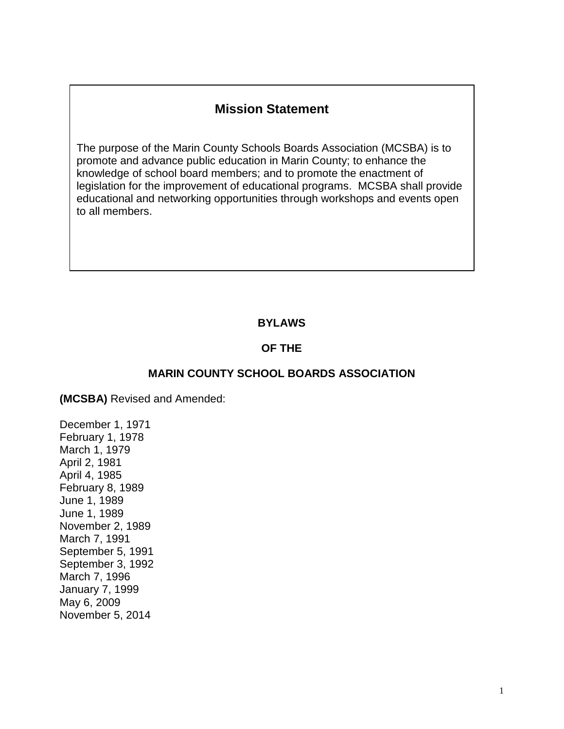# **Mission Statement**

The purpose of the Marin County Schools Boards Association (MCSBA) is to promote and advance public education in Marin County; to enhance the knowledge of school board members; and to promote the enactment of legislation for the improvement of educational programs. MCSBA shall provide educational and networking opportunities through workshops and events open to all members.

#### **BYLAWS**

#### **OF THE**

#### **MARIN COUNTY SCHOOL BOARDS ASSOCIATION**

**(MCSBA)** Revised and Amended:

December 1, 1971 February 1, 1978 March 1, 1979 April 2, 1981 April 4, 1985 February 8, 1989 June 1, 1989 June 1, 1989 November 2, 1989 March 7, 1991 September 5, 1991 September 3, 1992 March 7, 1996 January 7, 1999 May 6, 2009 November 5, 2014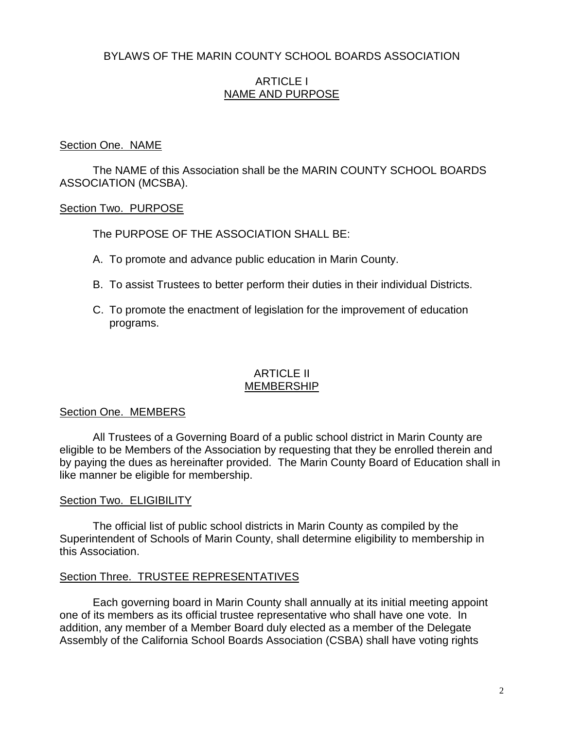# BYLAWS OF THE MARIN COUNTY SCHOOL BOARDS ASSOCIATION

### ARTICLE I NAME AND PURPOSE

#### Section One. NAME

The NAME of this Association shall be the MARIN COUNTY SCHOOL BOARDS ASSOCIATION (MCSBA).

#### Section Two. PURPOSE

The PURPOSE OF THE ASSOCIATION SHALL BE:

- A. To promote and advance public education in Marin County.
- B. To assist Trustees to better perform their duties in their individual Districts.
- C. To promote the enactment of legislation for the improvement of education programs.

### ARTICLE II MEMBERSHIP

### Section One. MEMBERS

All Trustees of a Governing Board of a public school district in Marin County are eligible to be Members of the Association by requesting that they be enrolled therein and by paying the dues as hereinafter provided. The Marin County Board of Education shall in like manner be eligible for membership.

### **Section Two. ELIGIBILITY**

The official list of public school districts in Marin County as compiled by the Superintendent of Schools of Marin County, shall determine eligibility to membership in this Association.

### Section Three. TRUSTEE REPRESENTATIVES

Each governing board in Marin County shall annually at its initial meeting appoint one of its members as its official trustee representative who shall have one vote. In addition, any member of a Member Board duly elected as a member of the Delegate Assembly of the California School Boards Association (CSBA) shall have voting rights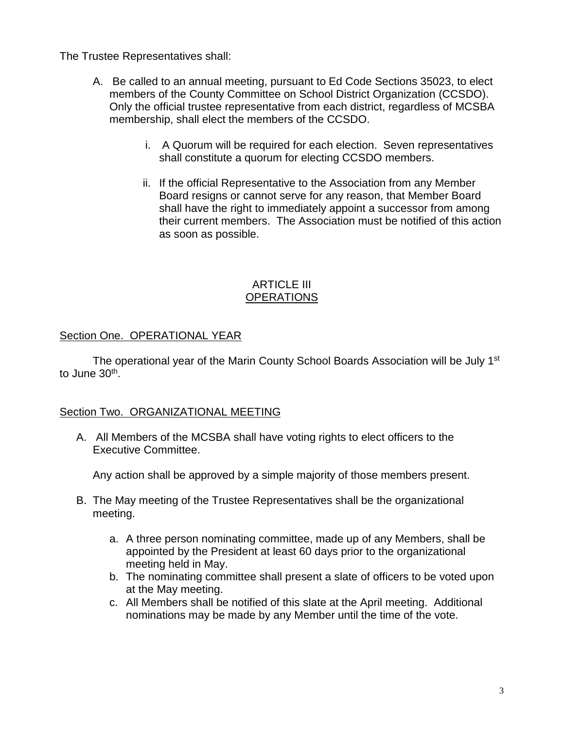The Trustee Representatives shall:

- A. Be called to an annual meeting, pursuant to Ed Code Sections 35023, to elect members of the County Committee on School District Organization (CCSDO). Only the official trustee representative from each district, regardless of MCSBA membership, shall elect the members of the CCSDO.
	- i. A Quorum will be required for each election. Seven representatives shall constitute a quorum for electing CCSDO members.
	- ii. If the official Representative to the Association from any Member Board resigns or cannot serve for any reason, that Member Board shall have the right to immediately appoint a successor from among their current members. The Association must be notified of this action as soon as possible.

### ARTICLE III **OPERATIONS**

# Section One. OPERATIONAL YEAR

The operational year of the Marin County School Boards Association will be July 1<sup>st</sup> to June 30<sup>th</sup>.

# Section Two. ORGANIZATIONAL MEETING

A. All Members of the MCSBA shall have voting rights to elect officers to the Executive Committee.

Any action shall be approved by a simple majority of those members present.

- B. The May meeting of the Trustee Representatives shall be the organizational meeting.
	- a. A three person nominating committee, made up of any Members, shall be appointed by the President at least 60 days prior to the organizational meeting held in May.
	- b. The nominating committee shall present a slate of officers to be voted upon at the May meeting.
	- c. All Members shall be notified of this slate at the April meeting. Additional nominations may be made by any Member until the time of the vote.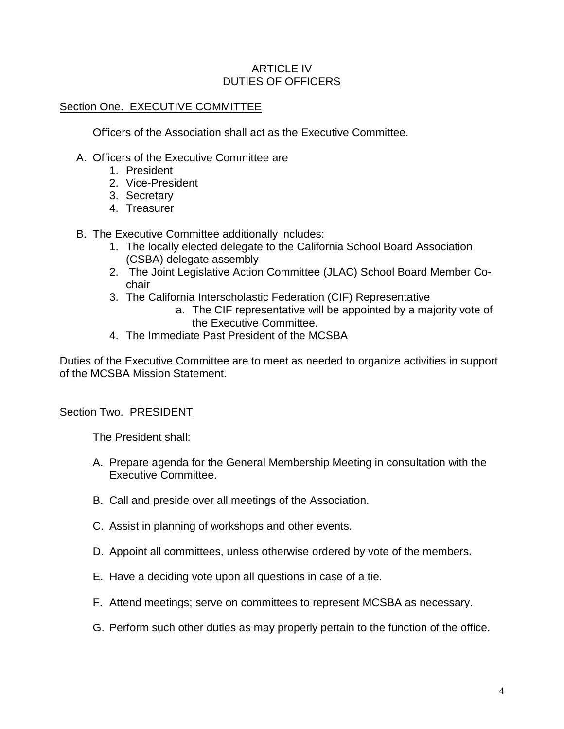### ARTICLE IV DUTIES OF OFFICERS

# Section One. EXECUTIVE COMMITTEE

Officers of the Association shall act as the Executive Committee.

- A. Officers of the Executive Committee are
	- 1. President
	- 2. Vice-President
	- 3. Secretary
	- 4. Treasurer
- B. The Executive Committee additionally includes:
	- 1. The locally elected delegate to the California School Board Association (CSBA) delegate assembly
	- 2. The Joint Legislative Action Committee (JLAC) School Board Member Cochair
	- 3. The California Interscholastic Federation (CIF) Representative
		- a. The CIF representative will be appointed by a majority vote of the Executive Committee.
	- 4. The Immediate Past President of the MCSBA

Duties of the Executive Committee are to meet as needed to organize activities in support of the MCSBA Mission Statement.

### Section Two. PRESIDENT

The President shall:

- A. Prepare agenda for the General Membership Meeting in consultation with the Executive Committee.
- B. Call and preside over all meetings of the Association.
- C. Assist in planning of workshops and other events.
- D. Appoint all committees, unless otherwise ordered by vote of the members**.**
- E. Have a deciding vote upon all questions in case of a tie.
- F. Attend meetings; serve on committees to represent MCSBA as necessary.
- G. Perform such other duties as may properly pertain to the function of the office.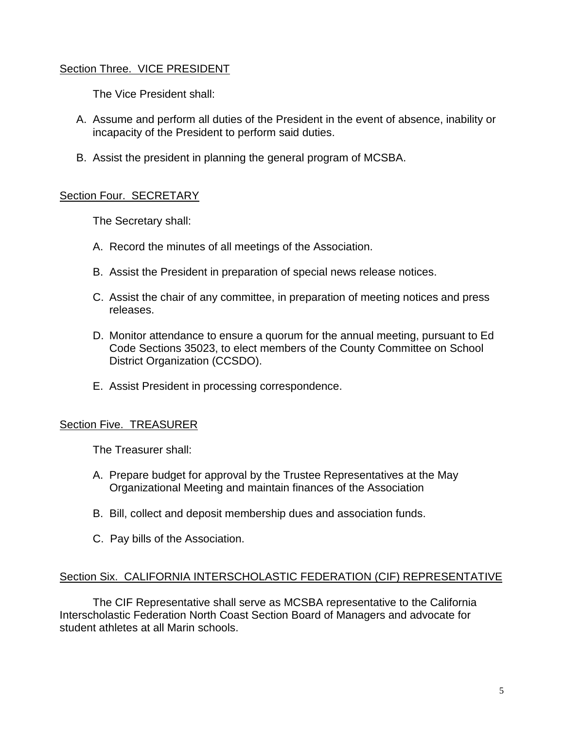### Section Three. VICE PRESIDENT

The Vice President shall:

- A. Assume and perform all duties of the President in the event of absence, inability or incapacity of the President to perform said duties.
- B. Assist the president in planning the general program of MCSBA.

### Section Four. SECRETARY

The Secretary shall:

- A. Record the minutes of all meetings of the Association.
- B. Assist the President in preparation of special news release notices.
- C. Assist the chair of any committee, in preparation of meeting notices and press releases.
- D. Monitor attendance to ensure a quorum for the annual meeting, pursuant to Ed Code Sections 35023, to elect members of the County Committee on School District Organization (CCSDO).
- E. Assist President in processing correspondence.

# Section Five. TREASURER

The Treasurer shall:

- A. Prepare budget for approval by the Trustee Representatives at the May Organizational Meeting and maintain finances of the Association
- B. Bill, collect and deposit membership dues and association funds.
- C. Pay bills of the Association.

### Section Six. CALIFORNIA INTERSCHOLASTIC FEDERATION (CIF) REPRESENTATIVE

The CIF Representative shall serve as MCSBA representative to the California Interscholastic Federation North Coast Section Board of Managers and advocate for student athletes at all Marin schools.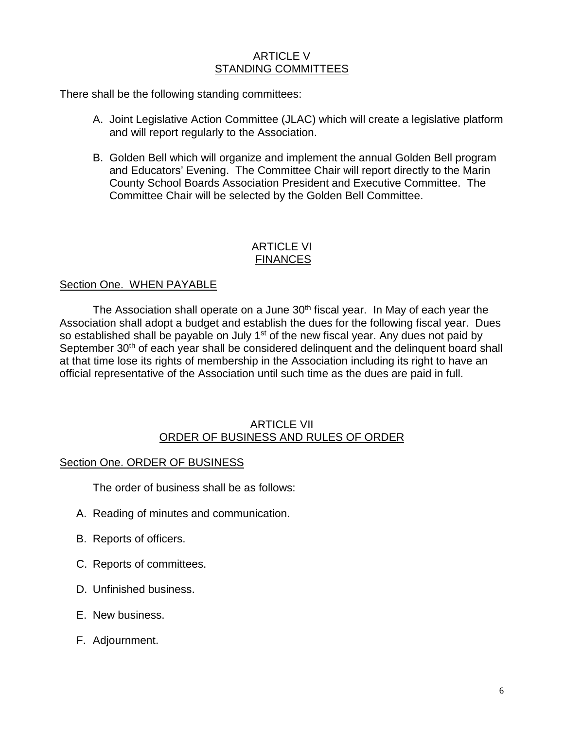### ARTICLE V STANDING COMMITTEES

There shall be the following standing committees:

- A. Joint Legislative Action Committee (JLAC) which will create a legislative platform and will report regularly to the Association.
- B. Golden Bell which will organize and implement the annual Golden Bell program and Educators' Evening. The Committee Chair will report directly to the Marin County School Boards Association President and Executive Committee. The Committee Chair will be selected by the Golden Bell Committee.

### ARTICLE VI **FINANCES**

### Section One. WHEN PAYABLE

The Association shall operate on a June 30<sup>th</sup> fiscal year. In May of each year the Association shall adopt a budget and establish the dues for the following fiscal year. Dues so established shall be payable on July  $1<sup>st</sup>$  of the new fiscal year. Any dues not paid by September 30<sup>th</sup> of each year shall be considered delinquent and the delinquent board shall at that time lose its rights of membership in the Association including its right to have an official representative of the Association until such time as the dues are paid in full.

#### ARTICLE VII ORDER OF BUSINESS AND RULES OF ORDER

### Section One. ORDER OF BUSINESS

The order of business shall be as follows:

- A. Reading of minutes and communication.
- B. Reports of officers.
- C. Reports of committees.
- D. Unfinished business.
- E. New business.
- F. Adjournment.